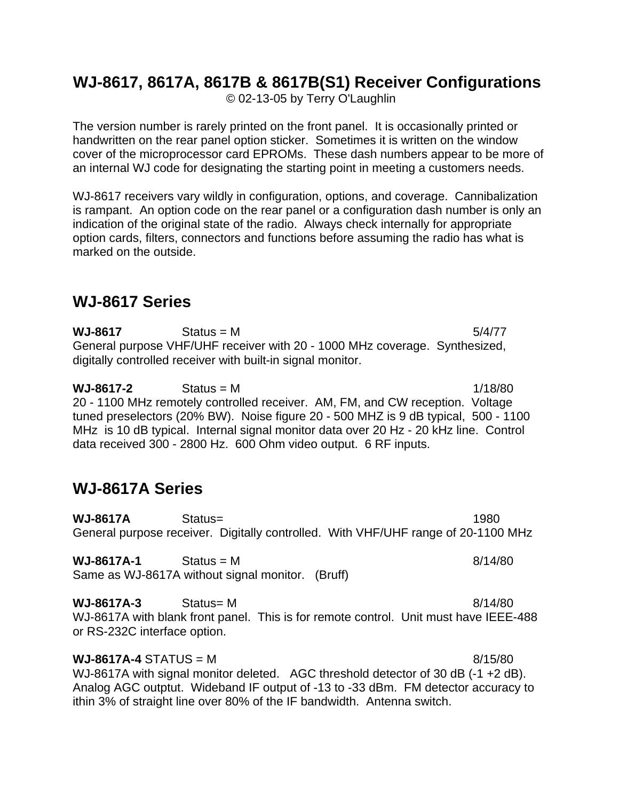# **WJ-8617, 8617A, 8617B & 8617B(S1) Receiver Configurations**

© 02-13-05 by Terry O'Laughlin

The version number is rarely printed on the front panel. It is occasionally printed or handwritten on the rear panel option sticker. Sometimes it is written on the window cover of the microprocessor card EPROMs. These dash numbers appear to be more of an internal WJ code for designating the starting point in meeting a customers needs.

WJ-8617 receivers vary wildly in configuration, options, and coverage. Cannibalization is rampant. An option code on the rear panel or a configuration dash number is only an indication of the original state of the radio. Always check internally for appropriate option cards, filters, connectors and functions before assuming the radio has what is marked on the outside.

# **WJ-8617 Series**

 $WJ-8617$  Status = M  $5/4/77$ General purpose VHF/UHF receiver with 20 - 1000 MHz coverage. Synthesized, digitally controlled receiver with built-in signal monitor.

**WJ-8617-2** Status = M 1/18/80 20 - 1100 MHz remotely controlled receiver. AM, FM, and CW reception. Voltage tuned preselectors (20% BW). Noise figure 20 - 500 MHZ is 9 dB typical, 500 - 1100 MHz is 10 dB typical. Internal signal monitor data over 20 Hz - 20 kHz line. Control data received 300 - 2800 Hz. 600 Ohm video output. 6 RF inputs.

# **WJ-8617A Series**

**WJ-8617A** Status= 1980 General purpose receiver. Digitally controlled. With VHF/UHF range of 20-1100 MHz

**WJ-8617A-1** Status = M 8/14/80 Same as WJ-8617A without signal monitor. (Bruff)

**WJ-8617A-3** Status= M 8/14/80 WJ-8617A with blank front panel. This is for remote control. Unit must have IEEE-488 or RS-232C interface option.

# $WJ-8617A-4$  STATUS = M  $8/15/80$

WJ-8617A with signal monitor deleted. AGC threshold detector of 30 dB (-1 +2 dB). Analog AGC outptut. Wideband IF output of -13 to -33 dBm. FM detector accuracy to ithin 3% of straight line over 80% of the IF bandwidth. Antenna switch.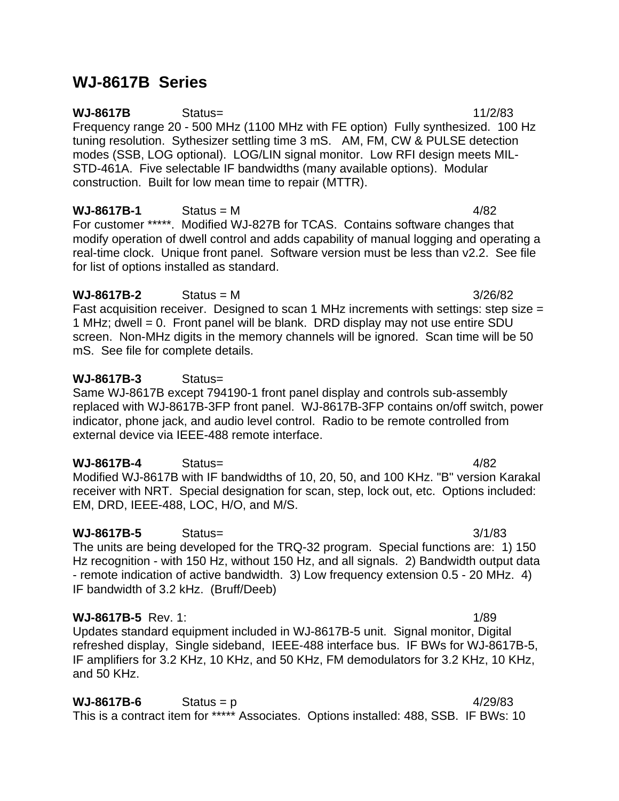# **WJ-8617B Series**

**WJ-8617B** Status= 11/2/83 Frequency range 20 - 500 MHz (1100 MHz with FE option) Fully synthesized. 100 Hz tuning resolution. Sythesizer settling time 3 mS. AM, FM, CW & PULSE detection modes (SSB, LOG optional). LOG/LIN signal monitor. Low RFI design meets MIL-STD-461A. Five selectable IF bandwidths (many available options). Modular construction. Built for low mean time to repair (MTTR).

**WJ-8617B-1** Status = M 4/82 For customer \*\*\*\*\*. Modified WJ-827B for TCAS. Contains software changes that modify operation of dwell control and adds capability of manual logging and operating a real-time clock. Unique front panel. Software version must be less than v2.2. See file for list of options installed as standard.

### **WJ-8617B-2** Status = M 3/26/82

Fast acquisition receiver. Designed to scan 1 MHz increments with settings: step size = 1 MHz; dwell = 0. Front panel will be blank. DRD display may not use entire SDU screen. Non-MHz digits in the memory channels will be ignored. Scan time will be 50 mS. See file for complete details.

## **WJ-8617B-3** Status=

Same WJ-8617B except 794190-1 front panel display and controls sub-assembly replaced with WJ-8617B-3FP front panel. WJ-8617B-3FP contains on/off switch, power indicator, phone jack, and audio level control. Radio to be remote controlled from external device via IEEE-488 remote interface.

# **WJ-8617B-4** Status= 4/82

Modified WJ-8617B with IF bandwidths of 10, 20, 50, and 100 KHz. "B" version Karakal receiver with NRT. Special designation for scan, step, lock out, etc. Options included: EM, DRD, IEEE-488, LOC, H/O, and M/S.

# **WJ-8617B-5** Status= 3/1/83

The units are being developed for the TRQ-32 program. Special functions are: 1) 150 Hz recognition - with 150 Hz, without 150 Hz, and all signals. 2) Bandwidth output data - remote indication of active bandwidth. 3) Low frequency extension 0.5 - 20 MHz. 4) IF bandwidth of 3.2 kHz. (Bruff/Deeb)

# **WJ-8617B-5** Rev. 1: 1/89

Updates standard equipment included in WJ-8617B-5 unit. Signal monitor, Digital refreshed display, Single sideband, IEEE-488 interface bus. IF BWs for WJ-8617B-5, IF amplifiers for 3.2 KHz, 10 KHz, and 50 KHz, FM demodulators for 3.2 KHz, 10 KHz, and 50 KHz.

 $WJ-8617B-6$  Status = p 4/29/83 This is a contract item for \*\*\*\*\* Associates. Options installed: 488, SSB. IF BWs: 10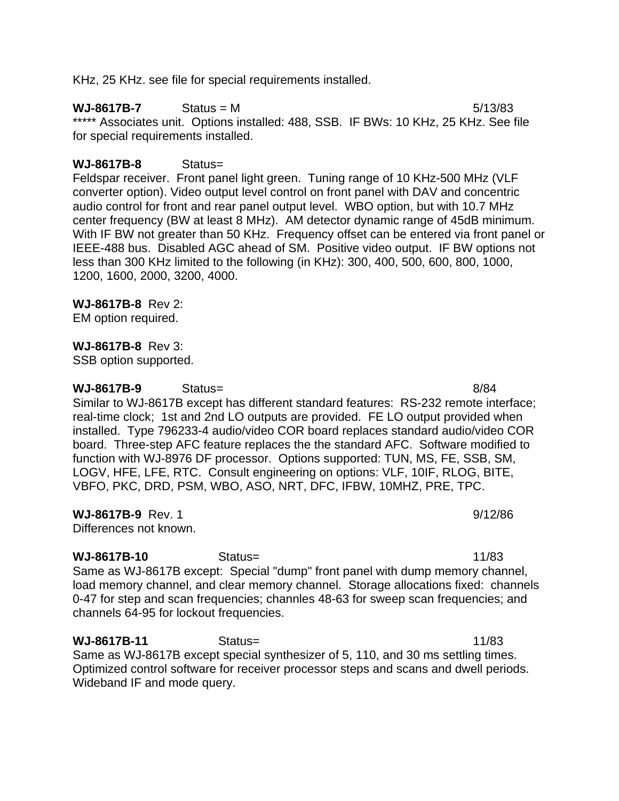KHz, 25 KHz. see file for special requirements installed.

 $WJ-8617B-7$  Status = M  $5/13/83$ \*\*\*\*\* Associates unit. Options installed: 488, SSB. IF BWs: 10 KHz, 25 KHz. See file for special requirements installed.

### **WJ-8617B-8** Status=

Feldspar receiver. Front panel light green. Tuning range of 10 KHz-500 MHz (VLF converter option). Video output level control on front panel with DAV and concentric audio control for front and rear panel output level. WBO option, but with 10.7 MHz center frequency (BW at least 8 MHz). AM detector dynamic range of 45dB minimum. With IF BW not greater than 50 KHz. Frequency offset can be entered via front panel or IEEE-488 bus. Disabled AGC ahead of SM. Positive video output. IF BW options not less than 300 KHz limited to the following (in KHz): 300, 400, 500, 600, 800, 1000, 1200, 1600, 2000, 3200, 4000.

#### **WJ-8617B-8** Rev 2:

EM option required.

#### **WJ-8617B-8** Rev 3:

SSB option supported.

**WJ-8617B-9** Status= 8/84 Similar to WJ-8617B except has different standard features: RS-232 remote interface; real-time clock; 1st and 2nd LO outputs are provided. FE LO output provided when installed. Type 796233-4 audio/video COR board replaces standard audio/video COR board. Three-step AFC feature replaces the the standard AFC. Software modified to function with WJ-8976 DF processor. Options supported: TUN, MS, FE, SSB, SM, LOGV, HFE, LFE, RTC. Consult engineering on options: VLF, 10IF, RLOG, BITE, VBFO, PKC, DRD, PSM, WBO, ASO, NRT, DFC, IFBW, 10MHZ, PRE, TPC.

**WJ-8617B-9** Rev. 1 9/12/86

Differences not known.

**WJ-8617B-10** Status= 11/83 Same as WJ-8617B except: Special "dump" front panel with dump memory channel, load memory channel, and clear memory channel. Storage allocations fixed: channels 0-47 for step and scan frequencies; channles 48-63 for sweep scan frequencies; and channels 64-95 for lockout frequencies.

**WJ-8617B-11** Status= 11/83 Same as WJ-8617B except special synthesizer of 5, 110, and 30 ms settling times. Optimized control software for receiver processor steps and scans and dwell periods. Wideband IF and mode query.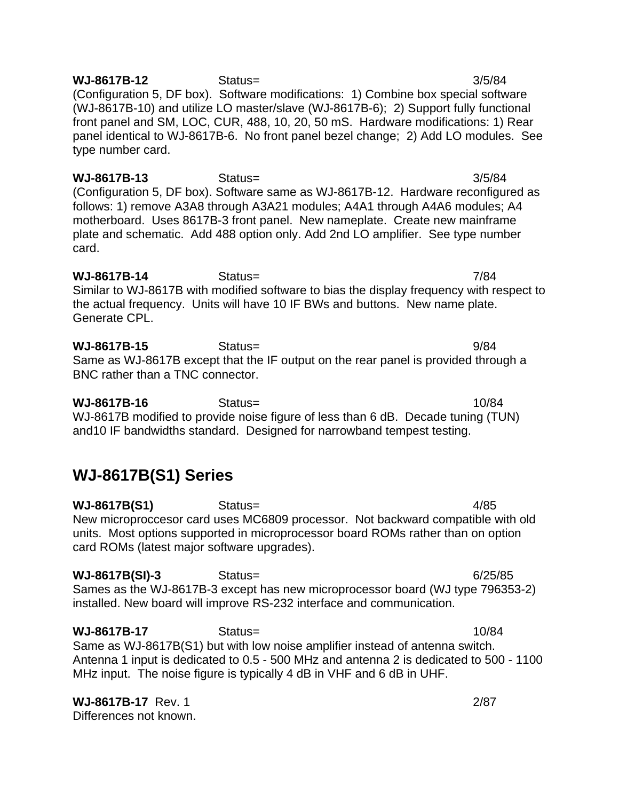**WJ-8617B-12** Status= 3/5/84 (Configuration 5, DF box). Software modifications: 1) Combine box special software (WJ-8617B-10) and utilize LO master/slave (WJ-8617B-6); 2) Support fully functional front panel and SM, LOC, CUR, 488, 10, 20, 50 mS. Hardware modifications: 1) Rear panel identical to WJ-8617B-6. No front panel bezel change; 2) Add LO modules. See type number card.

**WJ-8617B-13** Status= 3/5/84 (Configuration 5, DF box). Software same as WJ-8617B-12. Hardware reconfigured as follows: 1) remove A3A8 through A3A21 modules; A4A1 through A4A6 modules; A4 motherboard. Uses 8617B-3 front panel. New nameplate. Create new mainframe plate and schematic. Add 488 option only. Add 2nd LO amplifier. See type number card.

**WJ-8617B-14** Status= 7/84 Similar to WJ-8617B with modified software to bias the display frequency with respect to the actual frequency. Units will have 10 IF BWs and buttons. New name plate. Generate CPL.

**WJ-8617B-15** Status= 9/84 Same as WJ-8617B except that the IF output on the rear panel is provided through a BNC rather than a TNC connector.

**WJ-8617B-16** Status= 10/84 WJ-8617B modified to provide noise figure of less than 6 dB. Decade tuning (TUN) and10 IF bandwidths standard. Designed for narrowband tempest testing.

# **WJ-8617B(S1) Series**

**WJ-8617B(S1)** Status= 4/85 New microproccesor card uses MC6809 processor. Not backward compatible with old units. Most options supported in microprocessor board ROMs rather than on option card ROMs (latest major software upgrades).

**WJ-8617B(SI)-3** Status= 6/25/85 Sames as the WJ-8617B-3 except has new microprocessor board (WJ type 796353-2) installed. New board will improve RS-232 interface and communication.

**WJ-8617B-17** Status= 10/84 Same as WJ-8617B(S1) but with low noise amplifier instead of antenna switch. Antenna 1 input is dedicated to 0.5 - 500 MHz and antenna 2 is dedicated to 500 - 1100 MHz input. The noise figure is typically 4 dB in VHF and 6 dB in UHF.

**WJ-8617B-17** Rev. 1 2/87 Differences not known.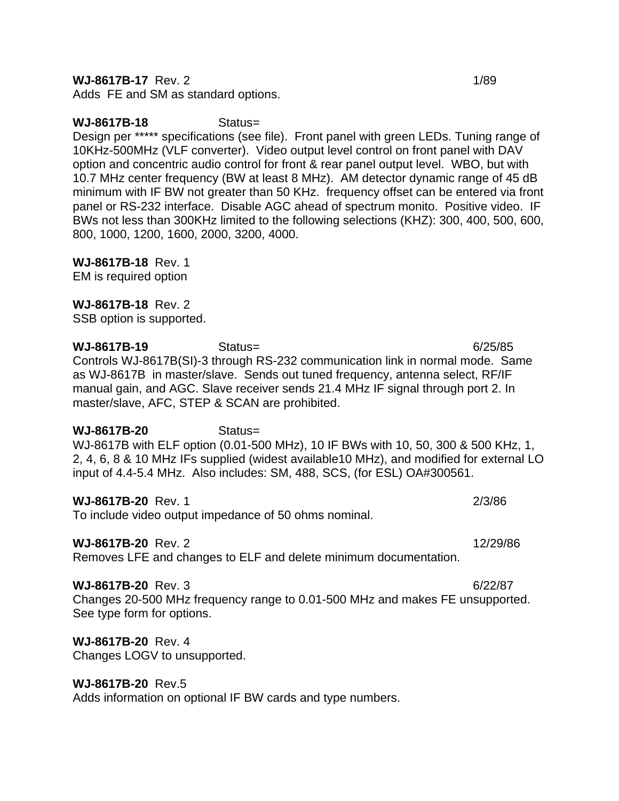**WJ-8617B-17** Rev. 2 1/89

Adds FE and SM as standard options.

### **WJ-8617B-18** Status=

Design per \*\*\*\*\* specifications (see file). Front panel with green LEDs. Tuning range of 10KHz-500MHz (VLF converter). Video output level control on front panel with DAV option and concentric audio control for front & rear panel output level. WBO, but with 10.7 MHz center frequency (BW at least 8 MHz). AM detector dynamic range of 45 dB minimum with IF BW not greater than 50 KHz. frequency offset can be entered via front panel or RS-232 interface. Disable AGC ahead of spectrum monito. Positive video. IF BWs not less than 300KHz limited to the following selections (KHZ): 300, 400, 500, 600, 800, 1000, 1200, 1600, 2000, 3200, 4000.

**WJ-8617B-18** Rev. 1

EM is required option

### **WJ-8617B-18** Rev. 2

SSB option is supported.

**WJ-8617B-19** Status= 6/25/85 Controls WJ-8617B(SI)-3 through RS-232 communication link in normal mode. Same as WJ-8617B in master/slave. Sends out tuned frequency, antenna select, RF/IF manual gain, and AGC. Slave receiver sends 21.4 MHz IF signal through port 2. In master/slave, AFC, STEP & SCAN are prohibited.

### **WJ-8617B-20** Status=

WJ-8617B with ELF option (0.01-500 MHz), 10 IF BWs with 10, 50, 300 & 500 KHz, 1, 2, 4, 6, 8 & 10 MHz IFs supplied (widest available10 MHz), and modified for external LO input of 4.4-5.4 MHz. Also includes: SM, 488, SCS, (for ESL) OA#300561.

**WJ-8617B-20** Rev. 1 2/3/86

To include video output impedance of 50 ohms nominal.

### **WJ-8617B-20** Rev. 2 12/29/86

Removes LFE and changes to ELF and delete minimum documentation.

### **WJ-8617B-20** Rev. 3 6/22/87

Changes 20-500 MHz frequency range to 0.01-500 MHz and makes FE unsupported. See type form for options.

# **WJ-8617B-20** Rev. 4

Changes LOGV to unsupported.

# **WJ-8617B-20** Rev.5

Adds information on optional IF BW cards and type numbers.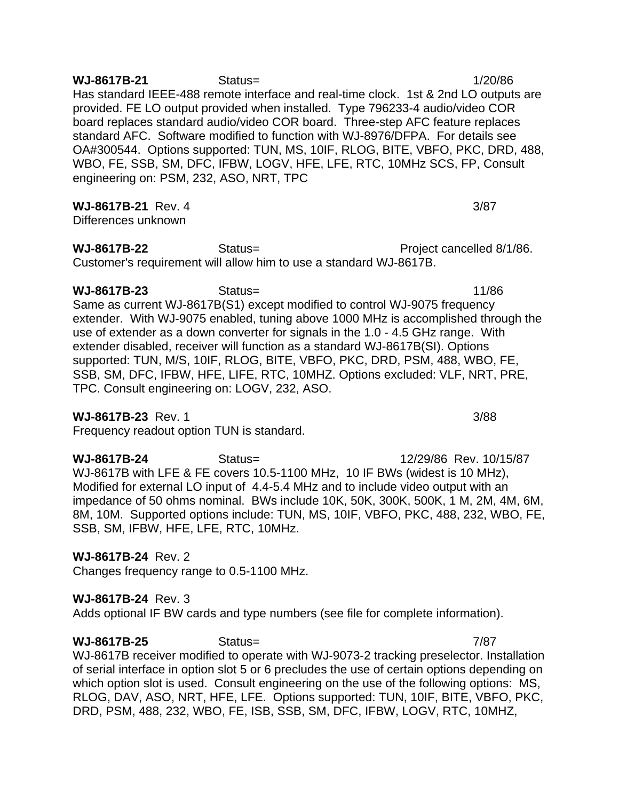**WJ-8617B-21** Status= 1/20/86 Has standard IEEE-488 remote interface and real-time clock. 1st & 2nd LO outputs are provided. FE LO output provided when installed. Type 796233-4 audio/video COR board replaces standard audio/video COR board. Three-step AFC feature replaces standard AFC. Software modified to function with WJ-8976/DFPA. For details see OA#300544. Options supported: TUN, MS, 10IF, RLOG, BITE, VBFO, PKC, DRD, 488, WBO, FE, SSB, SM, DFC, IFBW, LOGV, HFE, LFE, RTC, 10MHz SCS, FP, Consult engineering on: PSM, 232, ASO, NRT, TPC

**WJ-8617B-21** Rev. 4 3/87

Differences unknown

**WJ-8617B-22** Status= Project cancelled 8/1/86. Customer's requirement will allow him to use a standard WJ-8617B.

**WJ-8617B-23** Status= 11/86 Same as current WJ-8617B(S1) except modified to control WJ-9075 frequency extender. With WJ-9075 enabled, tuning above 1000 MHz is accomplished through the use of extender as a down converter for signals in the 1.0 - 4.5 GHz range. With extender disabled, receiver will function as a standard WJ-8617B(SI). Options supported: TUN, M/S, 10IF, RLOG, BITE, VBFO, PKC, DRD, PSM, 488, WBO, FE, SSB, SM, DFC, IFBW, HFE, LIFE, RTC, 10MHZ. Options excluded: VLF, NRT, PRE, TPC. Consult engineering on: LOGV, 232, ASO.

### **WJ-8617B-23** Rev. 1 3/88

Frequency readout option TUN is standard.

**WJ-8617B-24** Status= 12/29/86 Rev. 10/15/87 WJ-8617B with LFE & FE covers 10.5-1100 MHz, 10 IF BWs (widest is 10 MHz), Modified for external LO input of 4.4-5.4 MHz and to include video output with an impedance of 50 ohms nominal. BWs include 10K, 50K, 300K, 500K, 1 M, 2M, 4M, 6M, 8M, 10M. Supported options include: TUN, MS, 10IF, VBFO, PKC, 488, 232, WBO, FE, SSB, SM, IFBW, HFE, LFE, RTC, 10MHz.

### **WJ-8617B-24** Rev. 2

Changes frequency range to 0.5-1100 MHz.

### **WJ-8617B-24** Rev. 3

Adds optional IF BW cards and type numbers (see file for complete information).

**WJ-8617B-25** Status= 7/87 WJ-8617B receiver modified to operate with WJ-9073-2 tracking preselector. Installation of serial interface in option slot 5 or 6 precludes the use of certain options depending on which option slot is used. Consult engineering on the use of the following options: MS, RLOG, DAV, ASO, NRT, HFE, LFE. Options supported: TUN, 10IF, BITE, VBFO, PKC, DRD, PSM, 488, 232, WBO, FE, ISB, SSB, SM, DFC, IFBW, LOGV, RTC, 10MHZ,